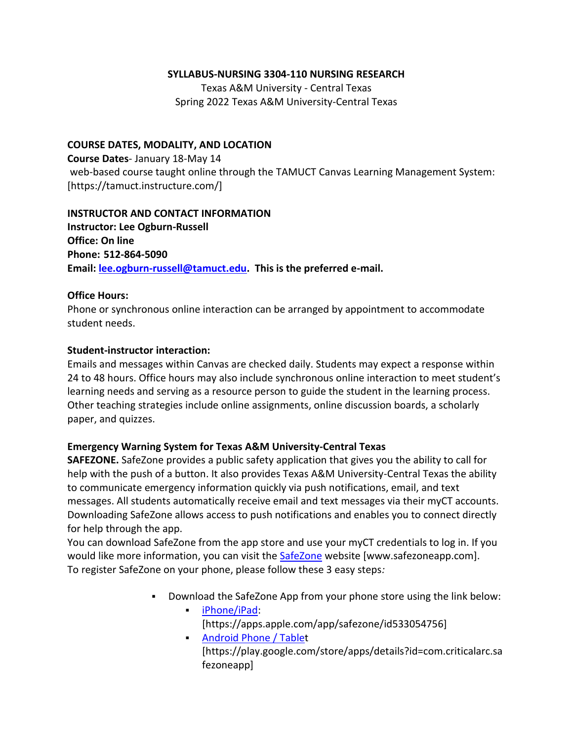#### **SYLLABUS-NURSING 3304-110 NURSING RESEARCH**

Texas A&M University - Central Texas Spring 2022 Texas A&M University-Central Texas

### **COURSE DATES, MODALITY, AND LOCATION**

**Course Dates**- January 18-May 14 web-based course taught online through the TAMUCT Canvas Learning Management System: [https://tamuct.instructure.com/]

#### **INSTRUCTOR AND CONTACT INFORMATION**

**Instructor: Lee Ogburn-Russell Office: On line Phone: 512-864-5090 Email: [lee.ogburn-russell@tamuct.edu.](mailto:lee.ogburn-russell@tamuct.edu) This is the preferred e-mail.**

### **Office Hours:**

Phone or synchronous online interaction can be arranged by appointment to accommodate student needs.

## **Student-instructor interaction:**

Emails and messages within Canvas are checked daily. Students may expect a response within 24 to 48 hours. Office hours may also include synchronous online interaction to meet student's learning needs and serving as a resource person to guide the student in the learning process. Other teaching strategies include online assignments, online discussion boards, a scholarly paper, and quizzes.

## **Emergency Warning System for Texas A&M University-Central Texas**

**SAFEZONE.** SafeZone provides a public safety application that gives you the ability to call for help with the push of a button. It also provides Texas A&M University-Central Texas the ability to communicate emergency information quickly via push notifications, email, and text messages. All students automatically receive email and text messages via their myCT accounts. Downloading SafeZone allows access to push notifications and enables you to connect directly for help through the app.

You can download SafeZone from the app store and use your myCT credentials to log in. If you would like more information, you can visit the [SafeZone](https://nam04.safelinks.protection.outlook.com/?url=http%3A%2F%2Fwww.safezoneapp.com%2F&data=04%7C01%7Clee.ogburn-russell%40tamuct.edu%7C2e20116c89ac48940f1e08d9c3ebc430%7C9eed4e3000f744849ff193ad8005acec%7C0%7C0%7C637756239663279637%7CUnknown%7CTWFpbGZsb3d8eyJWIjoiMC4wLjAwMDAiLCJQIjoiV2luMzIiLCJBTiI6Ik1haWwiLCJXVCI6Mn0%3D%7C3000&sdata=YGctC2K6skA%2FYm%2BdWAoqiMwx3pRMj6YTy2fWiPE8s7w%3D&reserved=0) website [www.safezoneapp.com]. To register SafeZone on your phone, please follow these 3 easy steps*:*

- Download the SafeZone App from your phone store using the link below:
	- [iPhone/iPad:](https://nam04.safelinks.protection.outlook.com/?url=https%3A%2F%2Fapps.apple.com%2Fapp%2Fsafezone%2Fid533054756&data=04%7C01%7Clee.ogburn-russell%40tamuct.edu%7C2e20116c89ac48940f1e08d9c3ebc430%7C9eed4e3000f744849ff193ad8005acec%7C0%7C0%7C637756239663279637%7CUnknown%7CTWFpbGZsb3d8eyJWIjoiMC4wLjAwMDAiLCJQIjoiV2luMzIiLCJBTiI6Ik1haWwiLCJXVCI6Mn0%3D%7C3000&sdata=NxdMtSVMpPzzT1e6arbSGcZyhOlgqZZxd4O98slEgaU%3D&reserved=0) [https://apps.apple.com/app/safezone/id533054756]
		- **[Android](https://nam04.safelinks.protection.outlook.com/?url=https%3A%2F%2Fplay.google.com%2Fstore%2Fapps%2Fdetails%3Fid%3Dcom.criticalarc.safezoneapp&data=04%7C01%7Clee.ogburn-russell%40tamuct.edu%7C2e20116c89ac48940f1e08d9c3ebc430%7C9eed4e3000f744849ff193ad8005acec%7C0%7C0%7C637756239663279637%7CUnknown%7CTWFpbGZsb3d8eyJWIjoiMC4wLjAwMDAiLCJQIjoiV2luMzIiLCJBTiI6Ik1haWwiLCJXVCI6Mn0%3D%7C3000&sdata=GixNsy0UCs4iJrbx6Ghr7QckbMqDnFoq%2F%2FVQGhNjaXo%3D&reserved=0) Phone / Tablet** [https://play.google.com/store/apps/details?id=com.criticalarc.sa fezoneapp]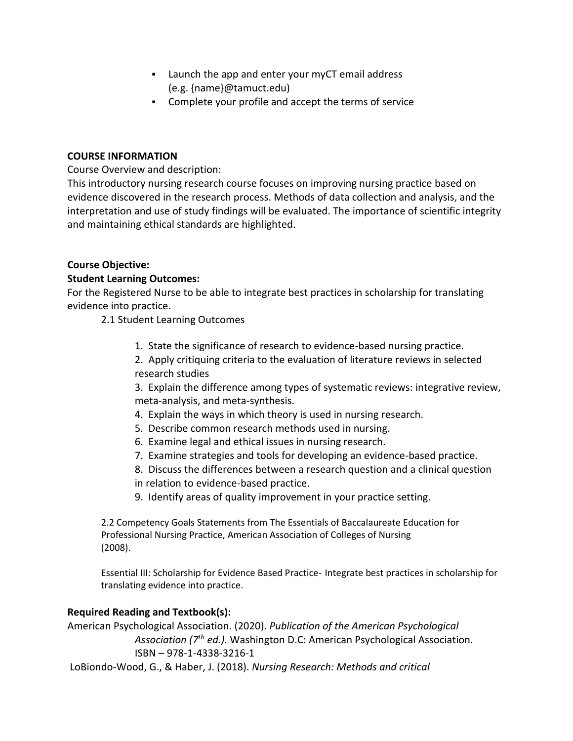- Launch the app and enter your myCT email address (e.g. {name}@tamuct.edu)
- Complete your profile and accept the terms of service

#### **COURSE INFORMATION**

Course Overview and description:

This introductory nursing research course focuses on improving nursing practice based on evidence discovered in the research process. Methods of data collection and analysis, and the interpretation and use of study findings will be evaluated. The importance of scientific integrity and maintaining ethical standards are highlighted.

### **Course Objective:**

### **Student Learning Outcomes:**

For the Registered Nurse to be able to integrate best practices in scholarship for translating evidence into practice.

2.1 Student Learning Outcomes

- 1. State the significance of research to evidence-based nursing practice.
- 2. Apply critiquing criteria to the evaluation of literature reviews in selected research studies

3. Explain the difference among types of systematic reviews: integrative review, meta-analysis, and meta-synthesis.

- 4. Explain the ways in which theory is used in nursing research.
- 5. Describe common research methods used in nursing.
- 6. Examine legal and ethical issues in nursing research.
- 7. Examine strategies and tools for developing an evidence-based practice.
- 8. Discuss the differences between a research question and a clinical question in relation to evidence-based practice.
- 9. Identify areas of quality improvement in your practice setting.

2.2 Competency Goals Statements from The Essentials of Baccalaureate Education for Professional Nursing Practice, American Association of Colleges of Nursing (2008).

Essential III: Scholarship for Evidence Based Practice- Integrate best practices in scholarship for translating evidence into practice.

## **Required Reading and Textbook(s):**

American Psychological Association. (2020). *Publication of the American Psychological Association (7 th ed.).* Washington D.C: American Psychological Association. ISBN – 978-1-4338-3216-1

LoBiondo-Wood, G., & Haber, J. (2018). *Nursing Research: Methods and critical*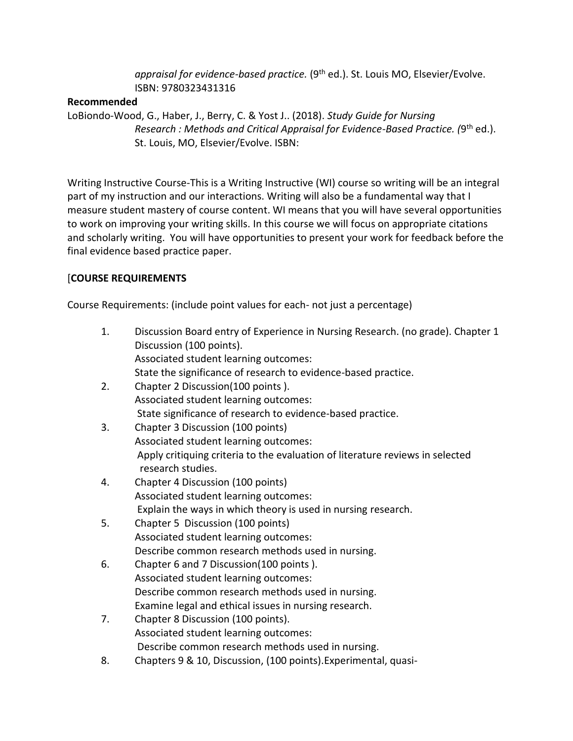*appraisal for evidence-based practice.* (9<sup>th</sup> ed.). St. Louis MO, Elsevier/Evolve. ISBN: 9780323431316

### **Recommended**

LoBiondo-Wood, G., Haber, J., Berry, C. & Yost J.. (2018). *Study Guide for Nursing*  Research : Methods and Critical Appraisal for Evidence-Based Practice. (9<sup>th</sup> ed.). St. Louis, MO, Elsevier/Evolve. ISBN:

Writing Instructive Course-This is a Writing Instructive (WI) course so writing will be an integral part of my instruction and our interactions. Writing will also be a fundamental way that I measure student mastery of course content. WI means that you will have several opportunities to work on improving your writing skills. In this course we will focus on appropriate citations and scholarly writing. You will have opportunities to present your work for feedback before the final evidence based practice paper.

# [**COURSE REQUIREMENTS**

Course Requirements: (include point values for each- not just a percentage)

| 1. | Discussion Board entry of Experience in Nursing Research. (no grade). Chapter 1<br>Discussion (100 points). |
|----|-------------------------------------------------------------------------------------------------------------|
|    | Associated student learning outcomes:                                                                       |
|    | State the significance of research to evidence-based practice.                                              |
| 2. | Chapter 2 Discussion(100 points).                                                                           |
|    | Associated student learning outcomes:                                                                       |
|    | State significance of research to evidence-based practice.                                                  |
| 3. | Chapter 3 Discussion (100 points)                                                                           |
|    | Associated student learning outcomes:                                                                       |
|    | Apply critiquing criteria to the evaluation of literature reviews in selected<br>research studies.          |
| 4. | Chapter 4 Discussion (100 points)                                                                           |
|    | Associated student learning outcomes:                                                                       |
|    | Explain the ways in which theory is used in nursing research.                                               |
| 5. | Chapter 5 Discussion (100 points)                                                                           |
|    | Associated student learning outcomes:                                                                       |
|    | Describe common research methods used in nursing.                                                           |
| 6. | Chapter 6 and 7 Discussion(100 points).                                                                     |
|    | Associated student learning outcomes:                                                                       |
|    | Describe common research methods used in nursing.                                                           |
|    | Examine legal and ethical issues in nursing research.                                                       |
| 7. | Chapter 8 Discussion (100 points).                                                                          |
|    | Associated student learning outcomes:                                                                       |
|    | Describe common research methods used in nursing.                                                           |
| 8. | Chapters 9 & 10, Discussion, (100 points). Experimental, quasi-                                             |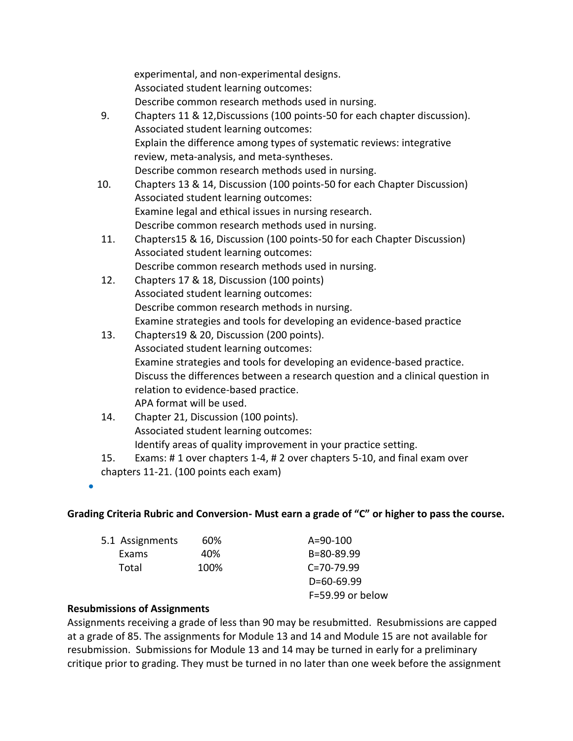experimental, and non-experimental designs. Associated student learning outcomes: Describe common research methods used in nursing.

- 9. Chapters 11 & 12,Discussions (100 points-50 for each chapter discussion). Associated student learning outcomes: Explain the difference among types of systematic reviews: integrative review, meta-analysis, and meta-syntheses. Describe common research methods used in nursing.
- 10. Chapters 13 & 14, Discussion (100 points-50 for each Chapter Discussion) Associated student learning outcomes: Examine legal and ethical issues in nursing research. Describe common research methods used in nursing.
- 11. Chapters15 & 16, Discussion (100 points-50 for each Chapter Discussion) Associated student learning outcomes: Describe common research methods used in nursing.
- 12. Chapters 17 & 18, Discussion (100 points) Associated student learning outcomes: Describe common research methods in nursing. Examine strategies and tools for developing an evidence-based practice
- 13. Chapters19 & 20, Discussion (200 points). Associated student learning outcomes: Examine strategies and tools for developing an evidence-based practice. Discuss the differences between a research question and a clinical question in relation to evidence-based practice. APA format will be used.
- 14. Chapter 21, Discussion (100 points). Associated student learning outcomes: Identify areas of quality improvement in your practice setting.
- 15. Exams: # 1 over chapters 1-4, # 2 over chapters 5-10, and final exam over chapters 11-21. (100 points each exam)

 $\bullet$ 

## **Grading Criteria Rubric and Conversion- Must earn a grade of "C" or higher to pass the course.**

| 5.1 Assignments | 60%  | $A = 90 - 100$     |
|-----------------|------|--------------------|
| Exams           | 40%  | B=80-89.99         |
| Total           | 100% | $C = 70 - 79.99$   |
|                 |      | $D=60-69.99$       |
|                 |      | $F=59.99$ or below |

## **Resubmissions of Assignments**

Assignments receiving a grade of less than 90 may be resubmitted. Resubmissions are capped at a grade of 85. The assignments for Module 13 and 14 and Module 15 are not available for resubmission. Submissions for Module 13 and 14 may be turned in early for a preliminary critique prior to grading. They must be turned in no later than one week before the assignment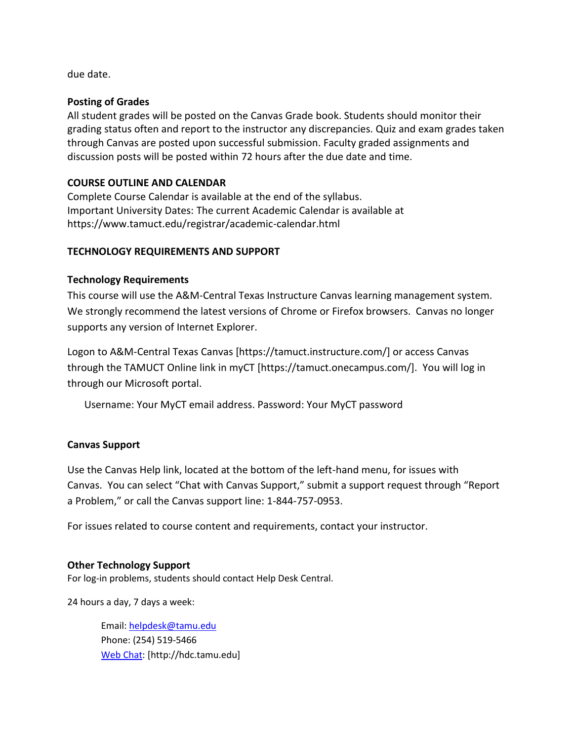due date.

#### **Posting of Grades**

All student grades will be posted on the Canvas Grade book. Students should monitor their grading status often and report to the instructor any discrepancies. Quiz and exam grades taken through Canvas are posted upon successful submission. Faculty graded assignments and discussion posts will be posted within 72 hours after the due date and time.

### **COURSE OUTLINE AND CALENDAR**

Complete Course Calendar is available at the end of the syllabus. Important University Dates: The current Academic Calendar is available at https://www.tamuct.edu/registrar/academic-calendar.html

### **TECHNOLOGY REQUIREMENTS AND SUPPORT**

### **Technology Requirements**

This course will use the A&M-Central Texas Instructure Canvas learning management system. We strongly recommend the latest versions of Chrome or Firefox browsers. Canvas no longer supports any version of Internet Explorer.

Logon to A&M-Central Texas Canvas [https://tamuct.instructure.com/] or access Canvas through the TAMUCT Online link in myCT [https://tamuct.onecampus.com/]. You will log in through our Microsoft portal.

Username: Your MyCT email address. Password: Your MyCT password

#### **Canvas Support**

Use the Canvas Help link, located at the bottom of the left-hand menu, for issues with Canvas. You can select "Chat with Canvas Support," submit a support request through "Report a Problem," or call the Canvas support line: 1-844-757-0953.

For issues related to course content and requirements, contact your instructor.

#### **Other Technology Support**

For log-in problems, students should contact Help Desk Central.

24 hours a day, 7 days a week:

Email: [helpdesk@tamu.edu](mailto:helpdesk@tamu.edu) Phone: (254) 519-5466 [Web Chat:](http://hdc.tamu.edu/) [http://hdc.tamu.edu]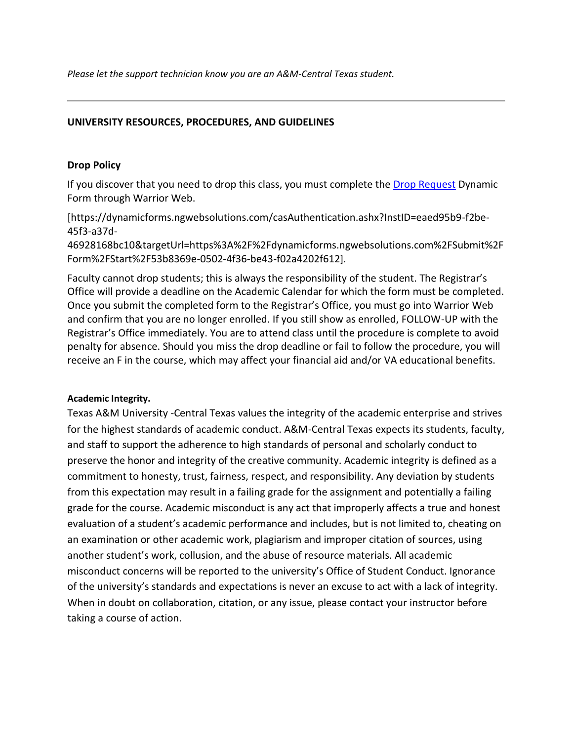*Please let the support technician know you are an A&M-Central Texas student.*

#### **UNIVERSITY RESOURCES, PROCEDURES, AND GUIDELINES**

#### **Drop Policy**

If you discover that you need to drop this class, you must complete the [Drop Request](https://dynamicforms.ngwebsolutions.com/casAuthentication.ashx?InstID=eaed95b9-f2be-45f3-a37d-46928168bc10&targetUrl=https%3A%2F%2Fdynamicforms.ngwebsolutions.com%2FSubmit%2FForm%2FStart%2F53b8369e-0502-4f36-be43-f02a4202f612) Dynamic Form through Warrior Web.

[https://dynamicforms.ngwebsolutions.com/casAuthentication.ashx?InstID=eaed95b9-f2be-45f3-a37d-

46928168bc10&targetUrl=https%3A%2F%2Fdynamicforms.ngwebsolutions.com%2FSubmit%2F Form%2FStart%2F53b8369e-0502-4f36-be43-f02a4202f612].

Faculty cannot drop students; this is always the responsibility of the student. The Registrar's Office will provide a deadline on the Academic Calendar for which the form must be completed. Once you submit the completed form to the Registrar's Office, you must go into Warrior Web and confirm that you are no longer enrolled. If you still show as enrolled, FOLLOW-UP with the Registrar's Office immediately. You are to attend class until the procedure is complete to avoid penalty for absence. Should you miss the drop deadline or fail to follow the procedure, you will receive an F in the course, which may affect your financial aid and/or VA educational benefits.

#### **Academic Integrity.**

Texas A&M University -Central Texas values the integrity of the academic enterprise and strives for the highest standards of academic conduct. A&M-Central Texas expects its students, faculty, and staff to support the adherence to high standards of personal and scholarly conduct to preserve the honor and integrity of the creative community. Academic integrity is defined as a commitment to honesty, trust, fairness, respect, and responsibility. Any deviation by students from this expectation may result in a failing grade for the assignment and potentially a failing grade for the course. Academic misconduct is any act that improperly affects a true and honest evaluation of a student's academic performance and includes, but is not limited to, cheating on an examination or other academic work, plagiarism and improper citation of sources, using another student's work, collusion, and the abuse of resource materials. All academic misconduct concerns will be reported to the university's Office of Student Conduct. Ignorance of the university's standards and expectations is never an excuse to act with a lack of integrity. When in doubt on collaboration, citation, or any issue, please contact your instructor before taking a course of action.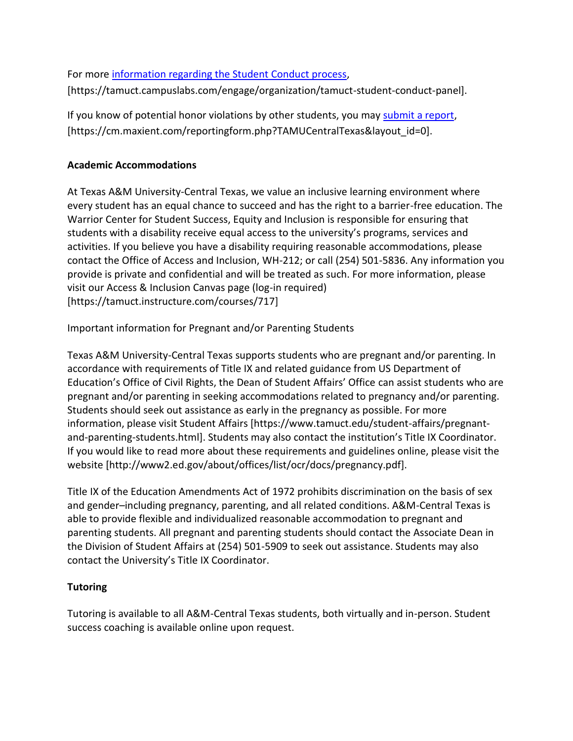For more [information regarding the Student Conduct process,](https://tamuct.campuslabs.com/engage/organization/tamuct-student-conduct-pane) [https://tamuct.campuslabs.com/engage/organization/tamuct-student-conduct-panel].

If you know of potential honor violations by other students, you may [submit a report,](https://cm.maxient.com/reportingform.php?TAMUCentralTexas&layout_id=0) [https://cm.maxient.com/reportingform.php?TAMUCentralTexas&layout\_id=0].

# **Academic Accommodations**

At Texas A&M University-Central Texas, we value an inclusive learning environment where every student has an equal chance to succeed and has the right to a barrier-free education. The Warrior Center for Student Success, Equity and Inclusion is responsible for ensuring that students with a disability receive equal access to the university's programs, services and activities. If you believe you have a disability requiring reasonable accommodations, please contact the Office of Access and Inclusion, WH-212; or call (254) 501-5836. Any information you provide is private and confidential and will be treated as such. For more information, please visit our Access & Inclusion Canvas page (log-in required) [https://tamuct.instructure.com/courses/717]

Important information for Pregnant and/or Parenting Students

Texas A&M University-Central Texas supports students who are pregnant and/or parenting. In accordance with requirements of Title IX and related guidance from US Department of Education's Office of Civil Rights, the Dean of Student Affairs' Office can assist students who are pregnant and/or parenting in seeking accommodations related to pregnancy and/or parenting. Students should seek out assistance as early in the pregnancy as possible. For more information, please visit Student Affairs [https://www.tamuct.edu/student-affairs/pregnantand-parenting-students.html]. Students may also contact the institution's Title IX Coordinator. If you would like to read more about these requirements and guidelines online, please visit the website [http://www2.ed.gov/about/offices/list/ocr/docs/pregnancy.pdf].

Title IX of the Education Amendments Act of 1972 prohibits discrimination on the basis of sex and gender–including pregnancy, parenting, and all related conditions. A&M-Central Texas is able to provide flexible and individualized reasonable accommodation to pregnant and parenting students. All pregnant and parenting students should contact the Associate Dean in the Division of Student Affairs at (254) 501-5909 to seek out assistance. Students may also contact the University's Title IX Coordinator.

# **Tutoring**

Tutoring is available to all A&M-Central Texas students, both virtually and in-person. Student success coaching is available online upon request.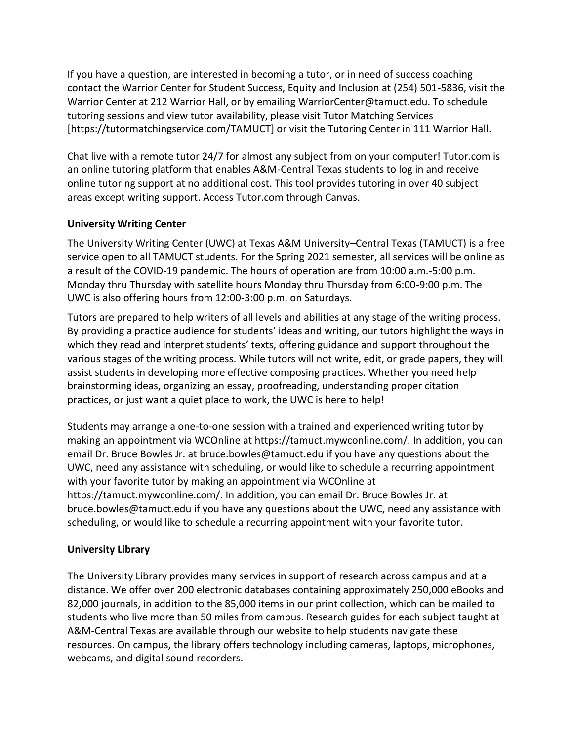If you have a question, are interested in becoming a tutor, or in need of success coaching contact the Warrior Center for Student Success, Equity and Inclusion at (254) 501-5836, visit the Warrior Center at 212 Warrior Hall, or by emailing WarriorCenter@tamuct.edu. To schedule tutoring sessions and view tutor availability, please visit Tutor Matching Services [https://tutormatchingservice.com/TAMUCT] or visit the Tutoring Center in 111 Warrior Hall.

Chat live with a remote tutor 24/7 for almost any subject from on your computer! Tutor.com is an online tutoring platform that enables A&M-Central Texas students to log in and receive online tutoring support at no additional cost. This tool provides tutoring in over 40 subject areas except writing support. Access Tutor.com through Canvas.

## **University Writing Center**

The University Writing Center (UWC) at Texas A&M University–Central Texas (TAMUCT) is a free service open to all TAMUCT students. For the Spring 2021 semester, all services will be online as a result of the COVID-19 pandemic. The hours of operation are from 10:00 a.m.-5:00 p.m. Monday thru Thursday with satellite hours Monday thru Thursday from 6:00-9:00 p.m. The UWC is also offering hours from 12:00-3:00 p.m. on Saturdays.

Tutors are prepared to help writers of all levels and abilities at any stage of the writing process. By providing a practice audience for students' ideas and writing, our tutors highlight the ways in which they read and interpret students' texts, offering guidance and support throughout the various stages of the writing process. While tutors will not write, edit, or grade papers, they will assist students in developing more effective composing practices. Whether you need help brainstorming ideas, organizing an essay, proofreading, understanding proper citation practices, or just want a quiet place to work, the UWC is here to help!

Students may arrange a one-to-one session with a trained and experienced writing tutor by making an appointment via WCOnline at https://tamuct.mywconline.com/. In addition, you can email Dr. Bruce Bowles Jr. at bruce.bowles@tamuct.edu if you have any questions about the UWC, need any assistance with scheduling, or would like to schedule a recurring appointment with your favorite tutor by making an appointment via WCOnline at https://tamuct.mywconline.com/. In addition, you can email Dr. Bruce Bowles Jr. at bruce.bowles@tamuct.edu if you have any questions about the UWC, need any assistance with scheduling, or would like to schedule a recurring appointment with your favorite tutor.

## **University Library**

The University Library provides many services in support of research across campus and at a distance. We offer over 200 electronic databases containing approximately 250,000 eBooks and 82,000 journals, in addition to the 85,000 items in our print collection, which can be mailed to students who live more than 50 miles from campus. Research guides for each subject taught at A&M-Central Texas are available through our website to help students navigate these resources. On campus, the library offers technology including cameras, laptops, microphones, webcams, and digital sound recorders.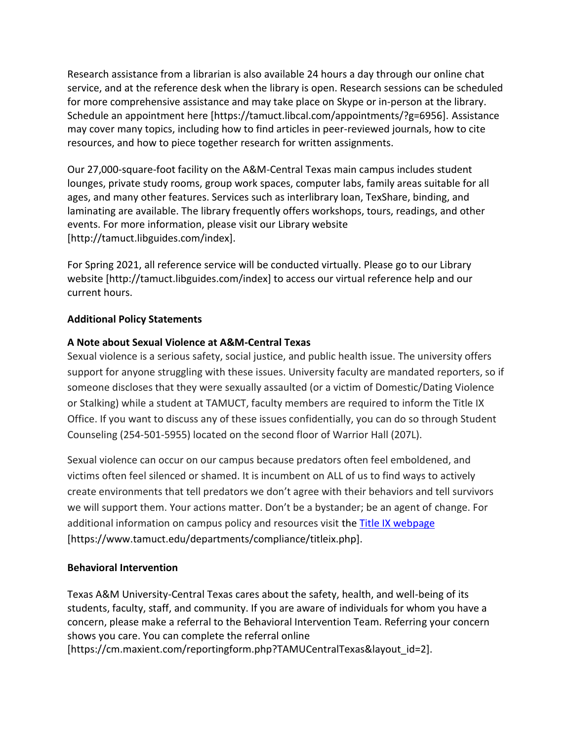Research assistance from a librarian is also available 24 hours a day through our online chat service, and at the reference desk when the library is open. Research sessions can be scheduled for more comprehensive assistance and may take place on Skype or in-person at the library. Schedule an appointment here [https://tamuct.libcal.com/appointments/?g=6956]. Assistance may cover many topics, including how to find articles in peer-reviewed journals, how to cite resources, and how to piece together research for written assignments.

Our 27,000-square-foot facility on the A&M-Central Texas main campus includes student lounges, private study rooms, group work spaces, computer labs, family areas suitable for all ages, and many other features. Services such as interlibrary loan, TexShare, binding, and laminating are available. The library frequently offers workshops, tours, readings, and other events. For more information, please visit our Library website [http://tamuct.libguides.com/index].

For Spring 2021, all reference service will be conducted virtually. Please go to our Library website [http://tamuct.libguides.com/index] to access our virtual reference help and our current hours.

## **Additional Policy Statements**

## **A Note about Sexual Violence at A&M-Central Texas**

Sexual violence is a serious safety, social justice, and public health issue. The university offers support for anyone struggling with these issues. University faculty are mandated reporters, so if someone discloses that they were sexually assaulted (or a victim of Domestic/Dating Violence or Stalking) while a student at TAMUCT, faculty members are required to inform the Title IX Office. If you want to discuss any of these issues confidentially, you can do so through Student Counseling (254-501-5955) located on the second floor of Warrior Hall (207L).

Sexual violence can occur on our campus because predators often feel emboldened, and victims often feel silenced or shamed. It is incumbent on ALL of us to find ways to actively create environments that tell predators we don't agree with their behaviors and tell survivors we will support them. Your actions matter. Don't be a bystander; be an agent of change. For additional information on campus policy and resources visit the [Title IX webpage](https://www.tamuct.edu/departments/compliance/titleix.php) [https://www.tamuct.edu/departments/compliance/titleix.php].

## **Behavioral Intervention**

Texas A&M University-Central Texas cares about the safety, health, and well-being of its students, faculty, staff, and community. If you are aware of individuals for whom you have a concern, please make a referral to the Behavioral Intervention Team. Referring your concern shows you care. You can complete the referral online [https://cm.maxient.com/reportingform.php?TAMUCentralTexas&layout\_id=2].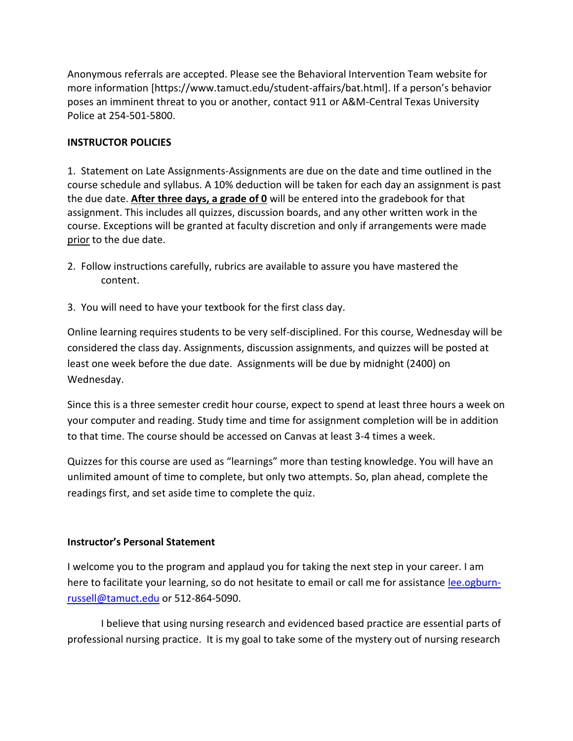Anonymous referrals are accepted. Please see the Behavioral Intervention Team website for more information [https://www.tamuct.edu/student-affairs/bat.html]. If a person's behavior poses an imminent threat to you or another, contact 911 or A&M-Central Texas University Police at 254-501-5800.

### **INSTRUCTOR POLICIES**

1. Statement on Late Assignments-Assignments are due on the date and time outlined in the course schedule and syllabus. A 10% deduction will be taken for each day an assignment is past the due date. **After three days, a grade of 0** will be entered into the gradebook for that assignment. This includes all quizzes, discussion boards, and any other written work in the course. Exceptions will be granted at faculty discretion and only if arrangements were made prior to the due date.

- 2. Follow instructions carefully, rubrics are available to assure you have mastered the content.
- 3. You will need to have your textbook for the first class day.

Online learning requires students to be very self-disciplined. For this course, Wednesday will be considered the class day. Assignments, discussion assignments, and quizzes will be posted at least one week before the due date. Assignments will be due by midnight (2400) on Wednesday.

Since this is a three semester credit hour course, expect to spend at least three hours a week on your computer and reading. Study time and time for assignment completion will be in addition to that time. The course should be accessed on Canvas at least 3-4 times a week.

Quizzes for this course are used as "learnings" more than testing knowledge. You will have an unlimited amount of time to complete, but only two attempts. So, plan ahead, complete the readings first, and set aside time to complete the quiz.

#### **Instructor's Personal Statement**

I welcome you to the program and applaud you for taking the next step in your career. I am here to facilitate your learning, so do not hesitate to email or call me for assistance [lee.ogburn](mailto:lee.ogburn-russell@tamuct.edu)[russell@tamuct.edu](mailto:lee.ogburn-russell@tamuct.edu) or 512-864-5090.

I believe that using nursing research and evidenced based practice are essential parts of professional nursing practice. It is my goal to take some of the mystery out of nursing research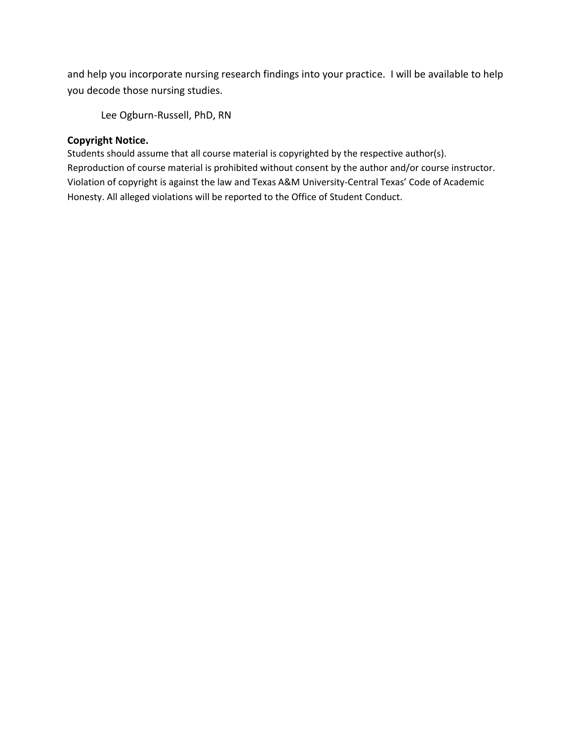and help you incorporate nursing research findings into your practice. I will be available to help you decode those nursing studies.

Lee Ogburn-Russell, PhD, RN

#### **Copyright Notice.**

Students should assume that all course material is copyrighted by the respective author(s). Reproduction of course material is prohibited without consent by the author and/or course instructor. Violation of copyright is against the law and Texas A&M University-Central Texas' Code of Academic Honesty. All alleged violations will be reported to the Office of Student Conduct.